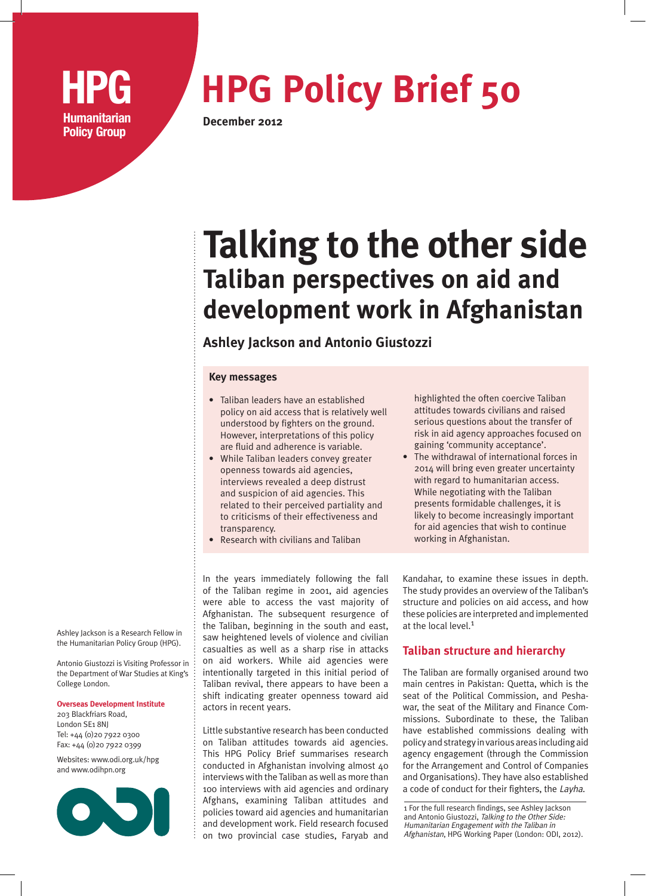

# **HPG Policy Brief 50**

**December 2012**

# **Talking to the other side Taliban perspectives on aid and development work in Afghanistan**

## **Ashley Jackson and Antonio Giustozzi**

#### **Key messages**

- Taliban leaders have an established policy on aid access that is relatively well understood by fighters on the ground. However, interpretations of this policy are fluid and adherence is variable.
- While Taliban leaders convey greater openness towards aid agencies, interviews revealed a deep distrust and suspicion of aid agencies. This related to their perceived partiality and to criticisms of their effectiveness and transparency.
- Research with civilians and Taliban

In the years immediately following the fall of the Taliban regime in 2001, aid agencies were able to access the vast majority of Afghanistan. The subsequent resurgence of the Taliban, beginning in the south and east, saw heightened levels of violence and civilian casualties as well as a sharp rise in attacks on aid workers. While aid agencies were intentionally targeted in this initial period of Taliban revival, there appears to have been a shift indicating greater openness toward aid actors in recent years.

Little substantive research has been conducted on Taliban attitudes towards aid agencies. This HPG Policy Brief summarises research conducted in Afghanistan involving almost 40 interviews with the Taliban as well as more than 100 interviews with aid agencies and ordinary Afghans, examining Taliban attitudes and policies toward aid agencies and humanitarian and development work. Field research focused on two provincial case studies, Faryab and highlighted the often coercive Taliban attitudes towards civilians and raised serious questions about the transfer of risk in aid agency approaches focused on gaining 'community acceptance'.

• The withdrawal of international forces in 2014 will bring even greater uncertainty with regard to humanitarian access. While negotiating with the Taliban presents formidable challenges, it is likely to become increasingly important for aid agencies that wish to continue working in Afghanistan.

Kandahar, to examine these issues in depth. The study provides an overview of the Taliban's structure and policies on aid access, and how these policies are interpreted and implemented at the local level.<sup>1</sup>

### **Taliban structure and hierarchy**

The Taliban are formally organised around two main centres in Pakistan: Quetta, which is the seat of the Political Commission, and Peshawar, the seat of the Military and Finance Commissions. Subordinate to these, the Taliban have established commissions dealing with policy and strategy in various areas including aid agency engagement (through the Commission for the Arrangement and Control of Companies and Organisations). They have also established a code of conduct for their fighters, the Layha.

1 For the full research findings, see Ashley Jackson and Antonio Giustozzi, Talking to the Other Side: Humanitarian Engagement with the Taliban in Afghanistan, HPG Working Paper (London: ODI, 2012).

Ashley Jackson is a Research Fellow in the Humanitarian Policy Group (HPG).

Antonio Giustozzi is Visiting Professor in the Department of War Studies at King's College London.

**Overseas Development Institute**

203 Blackfriars Road, London SE1 8NJ Tel: +44 (0)20 7922 0300 Fax: +44 (0)20 7922 0399

Websites: www.odi.org.uk/hpg and www.odihpn.org

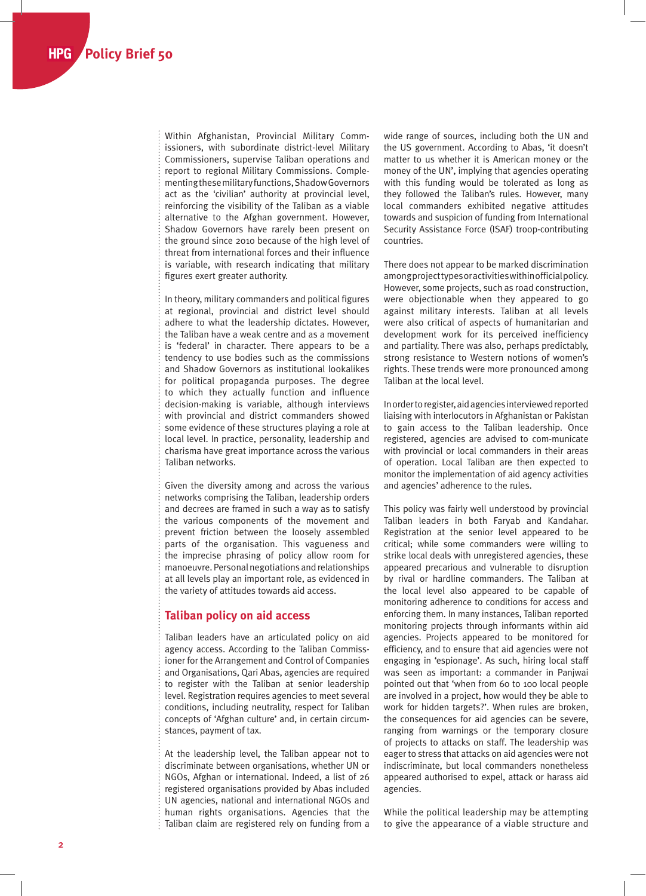Within Afghanistan, Provincial Military Commissioners, with subordinate district-level Military Commissioners, supervise Taliban operations and report to regional Military Commissions. Complementing these military functions, Shadow Governors act as the 'civilian' authority at provincial level, reinforcing the visibility of the Taliban as a viable alternative to the Afghan government. However, Shadow Governors have rarely been present on the ground since 2010 because of the high level of threat from international forces and their influence is variable, with research indicating that military figures exert greater authority.

In theory, military commanders and political figures at regional, provincial and district level should adhere to what the leadership dictates. However, the Taliban have a weak centre and as a movement is 'federal' in character. There appears to be a tendency to use bodies such as the commissions and Shadow Governors as institutional lookalikes for political propaganda purposes. The degree to which they actually function and influence decision-making is variable, although interviews with provincial and district commanders showed some evidence of these structures playing a role at local level. In practice, personality, leadership and charisma have great importance across the various Taliban networks.

Given the diversity among and across the various networks comprising the Taliban, leadership orders and decrees are framed in such a way as to satisfy the various components of the movement and prevent friction between the loosely assembled parts of the organisation. This vagueness and the imprecise phrasing of policy allow room for manoeuvre. Personal negotiations and relationships at all levels play an important role, as evidenced in the variety of attitudes towards aid access.

#### **Taliban policy on aid access**

Taliban leaders have an articulated policy on aid agency access. According to the Taliban Commissioner for the Arrangement and Control of Companies and Organisations, Qari Abas, agencies are required to register with the Taliban at senior leadership level. Registration requires agencies to meet several conditions, including neutrality, respect for Taliban concepts of 'Afghan culture' and, in certain circumstances, payment of tax.

At the leadership level, the Taliban appear not to discriminate between organisations, whether UN or NGOs, Afghan or international. Indeed, a list of 26 registered organisations provided by Abas included UN agencies, national and international NGOs and human rights organisations. Agencies that the Taliban claim are registered rely on funding from a

wide range of sources, including both the UN and the US government. According to Abas, 'it doesn't matter to us whether it is American money or the money of the UN', implying that agencies operating with this funding would be tolerated as long as they followed the Taliban's rules. However, many local commanders exhibited negative attitudes towards and suspicion of funding from International Security Assistance Force (ISAF) troop-contributing countries.

There does not appear to be marked discrimination among project types or activities within official policy. However, some projects, such as road construction, were objectionable when they appeared to go against military interests. Taliban at all levels were also critical of aspects of humanitarian and development work for its perceived inefficiency and partiality. There was also, perhaps predictably, strong resistance to Western notions of women's rights. These trends were more pronounced among Taliban at the local level.

In order to register, aid agencies interviewed reported liaising with interlocutors in Afghanistan or Pakistan to gain access to the Taliban leadership. Once registered, agencies are advised to com-municate with provincial or local commanders in their areas of operation. Local Taliban are then expected to monitor the implementation of aid agency activities and agencies' adherence to the rules.

This policy was fairly well understood by provincial Taliban leaders in both Faryab and Kandahar. Registration at the senior level appeared to be critical; while some commanders were willing to strike local deals with unregistered agencies, these appeared precarious and vulnerable to disruption by rival or hardline commanders. The Taliban at the local level also appeared to be capable of monitoring adherence to conditions for access and enforcing them. In many instances, Taliban reported monitoring projects through informants within aid agencies. Projects appeared to be monitored for efficiency, and to ensure that aid agencies were not engaging in 'espionage'. As such, hiring local staff was seen as important: a commander in Panjwai pointed out that 'when from 60 to 100 local people are involved in a project, how would they be able to work for hidden targets?'. When rules are broken, the consequences for aid agencies can be severe, ranging from warnings or the temporary closure of projects to attacks on staff. The leadership was eager to stress that attacks on aid agencies were not indiscriminate, but local commanders nonetheless appeared authorised to expel, attack or harass aid agencies.

While the political leadership may be attempting to give the appearance of a viable structure and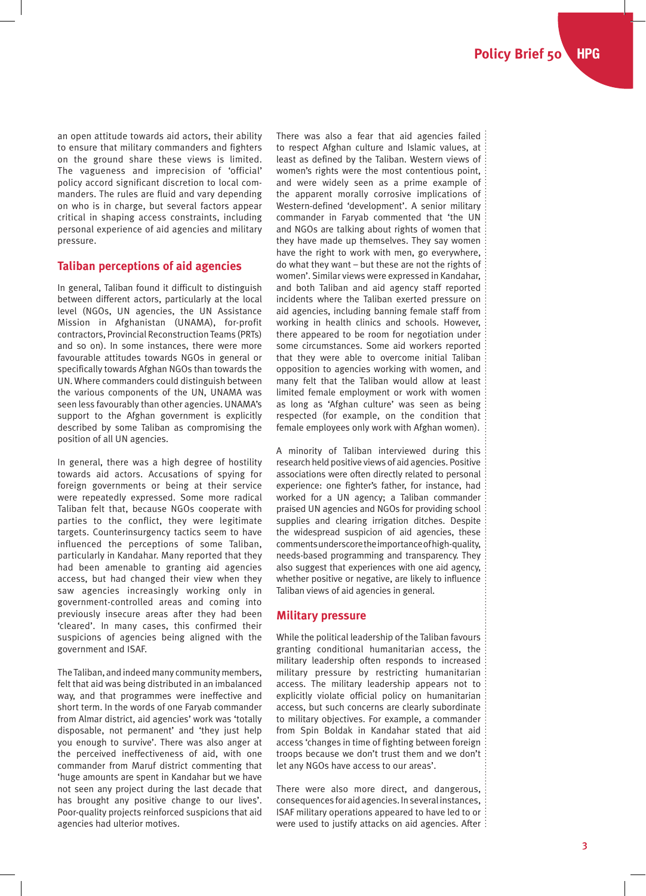an open attitude towards aid actors, their ability to ensure that military commanders and fighters on the ground share these views is limited. The vagueness and imprecision of 'official' policy accord significant discretion to local commanders. The rules are fluid and vary depending on who is in charge, but several factors appear critical in shaping access constraints, including personal experience of aid agencies and military pressure.

#### **Taliban perceptions of aid agencies**

In general, Taliban found it difficult to distinguish between different actors, particularly at the local level (NGOs, UN agencies, the UN Assistance Mission in Afghanistan (UNAMA), for-profit contractors, Provincial Reconstruction Teams (PRTs) and so on). In some instances, there were more favourable attitudes towards NGOs in general or specifically towards Afghan NGOs than towards the UN. Where commanders could distinguish between the various components of the UN, UNAMA was seen less favourably than other agencies. UNAMA's support to the Afghan government is explicitly described by some Taliban as compromising the position of all UN agencies.

In general, there was a high degree of hostility towards aid actors. Accusations of spying for foreign governments or being at their service were repeatedly expressed. Some more radical Taliban felt that, because NGOs cooperate with parties to the conflict, they were legitimate targets. Counterinsurgency tactics seem to have influenced the perceptions of some Taliban, particularly in Kandahar. Many reported that they had been amenable to granting aid agencies access, but had changed their view when they saw agencies increasingly working only in government-controlled areas and coming into previously insecure areas after they had been 'cleared'. In many cases, this confirmed their suspicions of agencies being aligned with the government and ISAF.

The Taliban, and indeed many community members, felt that aid was being distributed in an imbalanced way, and that programmes were ineffective and short term. In the words of one Faryab commander from Almar district, aid agencies' work was 'totally disposable, not permanent' and 'they just help you enough to survive'. There was also anger at the perceived ineffectiveness of aid, with one commander from Maruf district commenting that 'huge amounts are spent in Kandahar but we have not seen any project during the last decade that has brought any positive change to our lives'. Poor-quality projects reinforced suspicions that aid agencies had ulterior motives.

There was also a fear that aid agencies failed to respect Afghan culture and Islamic values, at least as defined by the Taliban. Western views of women's rights were the most contentious point, and were widely seen as a prime example of the apparent morally corrosive implications of Western-defined 'development'. A senior military commander in Faryab commented that 'the UN and NGOs are talking about rights of women that they have made up themselves. They say women have the right to work with men, go everywhere, do what they want – but these are not the rights of women'. Similar views were expressed in Kandahar, and both Taliban and aid agency staff reported incidents where the Taliban exerted pressure on aid agencies, including banning female staff from working in health clinics and schools. However, there appeared to be room for negotiation under some circumstances. Some aid workers reported that they were able to overcome initial Taliban opposition to agencies working with women, and many felt that the Taliban would allow at least limited female employment or work with women as long as 'Afghan culture' was seen as being respected (for example, on the condition that female employees only work with Afghan women).

A minority of Taliban interviewed during this research held positive views of aid agencies. Positive associations were often directly related to personal experience: one fighter's father, for instance, had worked for a UN agency; a Taliban commander praised UN agencies and NGOs for providing school supplies and clearing irrigation ditches. Despite the widespread suspicion of aid agencies, these comments underscore the importance of high-quality, needs-based programming and transparency. They also suggest that experiences with one aid agency, whether positive or negative, are likely to influence Taliban views of aid agencies in general.

#### **Military pressure**

While the political leadership of the Taliban favours granting conditional humanitarian access, the military leadership often responds to increased military pressure by restricting humanitarian access. The military leadership appears not to explicitly violate official policy on humanitarian access, but such concerns are clearly subordinate to military objectives. For example, a commander from Spin Boldak in Kandahar stated that aid access 'changes in time of fighting between foreign troops because we don't trust them and we don't let any NGOs have access to our areas'.

There were also more direct, and dangerous, consequences for aid agencies. In several instances, ISAF military operations appeared to have led to or were used to justify attacks on aid agencies. After